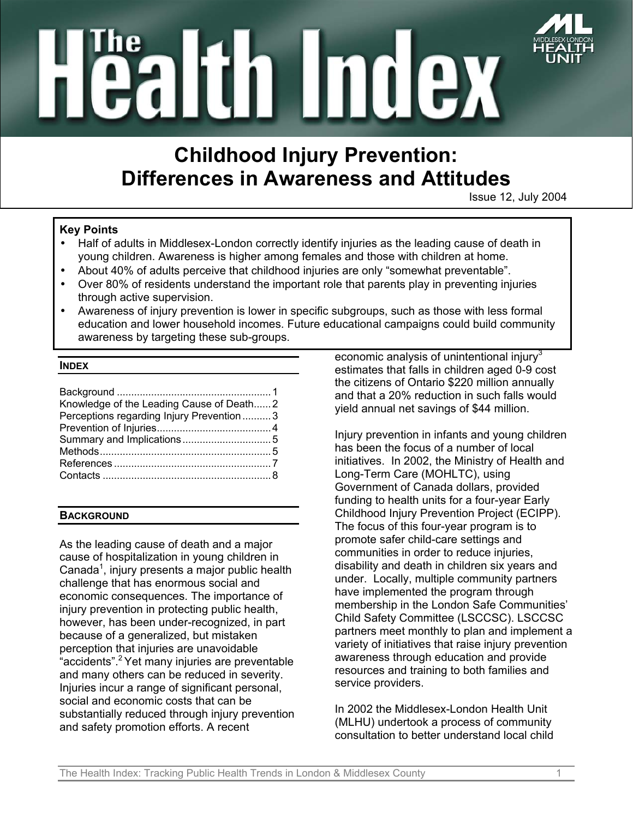

# **Tealtin Index**

# **Childhood Injury Prevention: Differences in Awareness and Attitudes**

Issue 12, July 2004

### **Key Points**

- Half of adults in Middlesex-London correctly identify injuries as the leading cause of death in young children. Awareness is higher among females and those with children at home.
- About 40% of adults perceive that childhood injuries are only "somewhat preventable".
- Over 80% of residents understand the important role that parents play in preventing injuries through active supervision.
- Awareness of injury prevention is lower in specific subgroups, such as those with less formal education and lower household incomes. Future educational campaigns could build community awareness by targeting these sub-groups.

### **INDEX**

| Knowledge of the Leading Cause of Death2 |  |
|------------------------------------------|--|
| Perceptions regarding Injury Prevention3 |  |
|                                          |  |
|                                          |  |
|                                          |  |
|                                          |  |

### **BACKGROUND**

As the leading cause of death and a major cause of hospitalization in young children in Canada<sup>1</sup>, injury presents a major public health challenge that has enormous social and economic consequences. The importance of injury prevention in protecting public health, however, has been under-recognized, in part because of a generalized, but mistaken perception that injuries are unavoidable "accidents".2 Yet many injuries are preventable and many others can be reduced in severity. Injuries incur a range of significant personal, social and economic costs that can be substantially reduced through injury prevention and safety promotion efforts. A recent

economic analysis of unintentional injury $3$ estimates that falls in children aged 0-9 cost the citizens of Ontario \$220 million annually and that a 20% reduction in such falls would yield annual net savings of \$44 million.

Injury prevention in infants and young children has been the focus of a number of local initiatives. In 2002, the Ministry of Health and Long-Term Care (MOHLTC), using Government of Canada dollars, provided funding to health units for a four-year Early Childhood Injury Prevention Project (ECIPP). The focus of this four-year program is to promote safer child-care settings and communities in order to reduce injuries, disability and death in children six years and under. Locally, multiple community partners have implemented the program through membership in the London Safe Communities' Child Safety Committee (LSCCSC). LSCCSC partners meet monthly to plan and implement a variety of initiatives that raise injury prevention awareness through education and provide resources and training to both families and service providers.

In 2002 the Middlesex-London Health Unit (MLHU) undertook a process of community consultation to better understand local child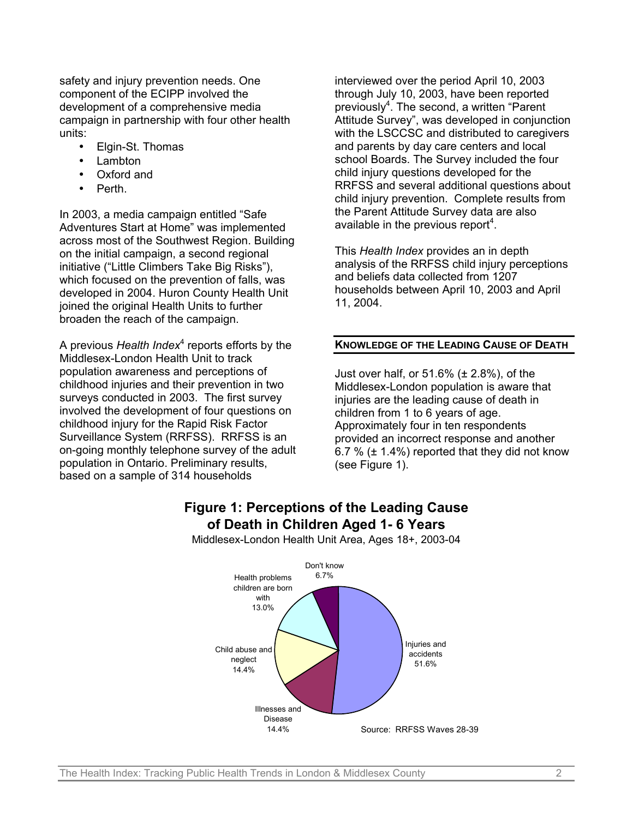safety and injury prevention needs. One component of the ECIPP involved the development of a comprehensive media campaign in partnership with four other health units:

- Elgin-St. Thomas
- Lambton
- Oxford and
- Perth.

In 2003, a media campaign entitled "Safe Adventures Start at Home" was implemented across most of the Southwest Region. Building on the initial campaign, a second regional initiative ("Little Climbers Take Big Risks"), which focused on the prevention of falls, was developed in 2004. Huron County Health Unit joined the original Health Units to further broaden the reach of the campaign.

A previous *Health Index<sup>4</sup> reports efforts by the* Middlesex-London Health Unit to track population awareness and perceptions of childhood injuries and their prevention in two surveys conducted in 2003. The first survey involved the development of four questions on childhood injury for the Rapid Risk Factor Surveillance System (RRFSS). RRFSS is an on-going monthly telephone survey of the adult population in Ontario. Preliminary results, based on a sample of 314 households

interviewed over the period April 10, 2003 through July 10, 2003, have been reported previously<sup>4</sup>. The second, a written "Parent Attitude Survey", was developed in conjunction with the LSCCSC and distributed to caregivers and parents by day care centers and local school Boards. The Survey included the four child injury questions developed for the RRFSS and several additional questions about child injury prevention. Complete results from the Parent Attitude Survey data are also available in the previous report<sup>4</sup>.

This *Health Index* provides an in depth analysis of the RRFSS child injury perceptions and beliefs data collected from 1207 households between April 10, 2003 and April 11, 2004.

### **KNOWLEDGE OF THE LEADING CAUSE OF DEATH**

Just over half, or  $51.6\%$  ( $\pm 2.8\%$ ), of the Middlesex-London population is aware that injuries are the leading cause of death in children from 1 to 6 years of age. Approximately four in ten respondents provided an incorrect response and another 6.7 %  $(\pm 1.4\%)$  reported that they did not know (see Figure 1).

## **Figure 1: Perceptions of the Leading Cause of Death in Children Aged 1- 6 Years**

Middlesex-London Health Unit Area, Ages 18+, 2003-04

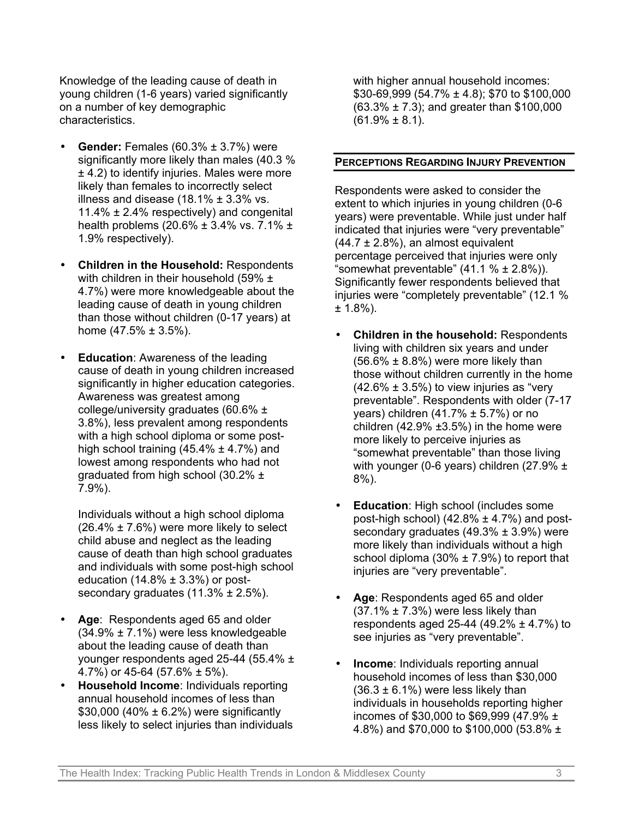Knowledge of the leading cause of death in young children (1-6 years) varied significantly on a number of key demographic characteristics.

- **Gender:** Females (60.3% ± 3.7%) were significantly more likely than males (40.3 %) ± 4.2) to identify injuries. Males were more likely than females to incorrectly select illness and disease  $(18.1\% \pm 3.3\% \text{ vs.})$ 11.4% ± 2.4% respectively) and congenital health problems (20.6%  $\pm$  3.4% vs. 7.1%  $\pm$ 1.9% respectively).
- **Children in the Household:** Respondents with children in their household (59% ± 4.7%) were more knowledgeable about the leading cause of death in young children than those without children (0-17 years) at home  $(47.5\% \pm 3.5\%).$
- **Education**: Awareness of the leading cause of death in young children increased significantly in higher education categories. Awareness was greatest among college/university graduates (60.6% ± 3.8%), less prevalent among respondents with a high school diploma or some posthigh school training  $(45.4\% \pm 4.7\%)$  and lowest among respondents who had not graduated from high school (30.2% ± 7.9%).

Individuals without a high school diploma  $(26.4\% \pm 7.6\%)$  were more likely to select child abuse and neglect as the leading cause of death than high school graduates and individuals with some post-high school education (14.8%  $\pm$  3.3%) or postsecondary graduates (11.3% ± 2.5%).

- **Age**: Respondents aged 65 and older (34.9% ± 7.1%) were less knowledgeable about the leading cause of death than younger respondents aged 25-44 (55.4% ± 4.7%) or 45-64 (57.6% ± 5%).
- **Household Income**: Individuals reporting annual household incomes of less than \$30,000 (40%  $\pm$  6.2%) were significantly less likely to select injuries than individuals

with higher annual household incomes: \$30-69,999 (54.7% ± 4.8); \$70 to \$100,000 (63.3% ± 7.3); and greater than \$100,000  $(61.9\% \pm 8.1).$ 

### **PERCEPTIONS REGARDING INJURY PREVENTION**

Respondents were asked to consider the extent to which injuries in young children (0-6 years) were preventable. While just under half indicated that injuries were "very preventable"  $(44.7 \pm 2.8\%)$ , an almost equivalent percentage perceived that injuries were only "somewhat preventable"  $(41.1 % ± 2.8%)$ ). Significantly fewer respondents believed that injuries were "completely preventable" (12.1 %  $± 1.8%$ ).

- **Children in the household:** Respondents living with children six years and under  $(56.6\% \pm 8.8\%)$  were more likely than those without children currently in the home  $(42.6\% \pm 3.5\%)$  to view injuries as "very preventable". Respondents with older (7-17 years) children  $(41.7\% \pm 5.7\%)$  or no children  $(42.9\% \pm 3.5\%)$  in the home were more likely to perceive injuries as "somewhat preventable" than those living with younger (0-6 years) children (27.9% ± 8%).
- **Education**: High school (includes some post-high school)  $(42.8\% \pm 4.7\%)$  and postsecondary graduates  $(49.3\% \pm 3.9\%)$  were more likely than individuals without a high school diploma  $(30\% \pm 7.9\%)$  to report that injuries are "very preventable".
- **Age**: Respondents aged 65 and older  $(37.1\% \pm 7.3\%)$  were less likely than respondents aged 25-44 (49.2%  $\pm$  4.7%) to see injuries as "very preventable".
- **Income**: Individuals reporting annual household incomes of less than \$30,000  $(36.3 \pm 6.1\%)$  were less likely than individuals in households reporting higher incomes of \$30,000 to \$69,999 (47.9% ± 4.8%) and \$70,000 to \$100,000 (53.8% ±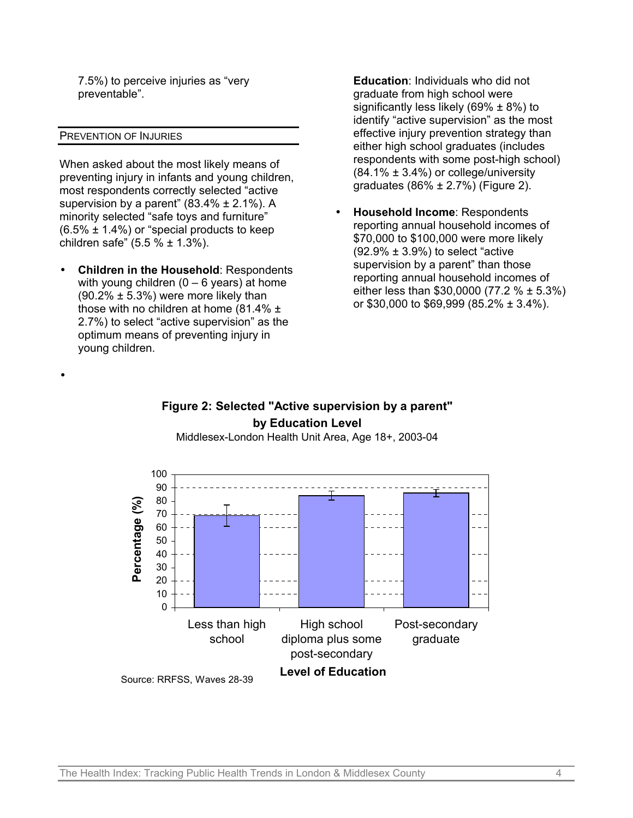7.5%) to perceive injuries as "very preventable".

### PREVENTION OF INJURIES

•

When asked about the most likely means of preventing injury in infants and young children, most respondents correctly selected "active supervision by a parent"  $(83.4\% \pm 2.1\%)$ . A minority selected "safe toys and furniture"  $(6.5\% \pm 1.4\%)$  or "special products to keep children safe"  $(5.5 % \pm 1.3%)$ .

• **Children in the Household**: Respondents with young children  $(0 - 6$  years) at home  $(90.2\% \pm 5.3\%)$  were more likely than those with no children at home (81.4% ± 2.7%) to select "active supervision" as the optimum means of preventing injury in young children.

**Education**: Individuals who did not graduate from high school were significantly less likely (69%  $\pm$  8%) to identify "active supervision" as the most effective injury prevention strategy than either high school graduates (includes respondents with some post-high school)  $(84.1\% \pm 3.4\%)$  or college/university graduates (86% ± 2.7%) (Figure 2).

• **Household Income**: Respondents reporting annual household incomes of \$70,000 to \$100,000 were more likely  $(92.9\% \pm 3.9\%)$  to select "active" supervision by a parent" than those reporting annual household incomes of either less than \$30,0000 (77.2 % ± 5.3%) or \$30,000 to \$69,999 (85.2% ± 3.4%).

### **Figure 2: Selected "Active supervision by a parent" by Education Level**

Middlesex-London Health Unit Area, Age 18+, 2003-04

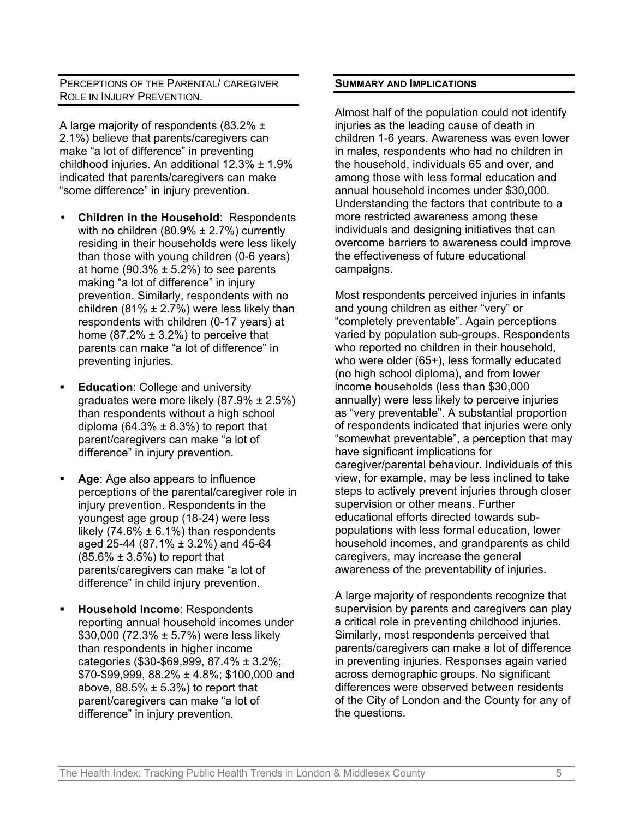### PERCEPTIONS OF THE PARENTAL/ CAREGIVER ROLE IN INJURY PREVENTION.

A large majority of respondents (83.2% ± 2.1%) believe that parents/caregivers can make "a lot of difference" in preventing childhood injuries. An additional 12.3% ± 1.9% indicated that parents/caregivers can make "some difference" in injury prevention.

- **Children in the Household**: Respondents with no children (80.9%  $\pm$  2.7%) currently residing in their households were less likely than those with young children (0-6 years) at home (90.3%  $\pm$  5.2%) to see parents making "a lot of difference" in injury prevention. Similarly, respondents with no children (81%  $\pm$  2.7%) were less likely than respondents with children (0-17 years) at home (87.2%  $\pm$  3.2%) to perceive that parents can make "a lot of difference" in preventing injuries.
- **Education**: College and university graduates were more likely (87.9% ± 2.5%) than respondents without a high school diploma (64.3%  $\pm$  8.3%) to report that parent/caregivers can make "a lot of difference" in injury prevention.
- **Age**: Age also appears to influence perceptions of the parental/caregiver role in injury prevention. Respondents in the youngest age group (18-24) were less likely (74.6%  $\pm$  6.1%) than respondents aged 25-44 (87.1% ± 3.2%) and 45-64  $(85.6\% \pm 3.5\%)$  to report that parents/caregivers can make "a lot of difference" in child injury prevention.
- **Household Income**: Respondents reporting annual household incomes under \$30,000 (72.3% ± 5.7%) were less likely than respondents in higher income categories (\$30-\$69,999, 87.4% ± 3.2%; \$70-\$99,999, 88.2% ± 4.8%; \$100,000 and above,  $88.5\% \pm 5.3\%$  to report that parent/caregivers can make "a lot of difference" in injury prevention.

### **SUMMARY AND IMPLICATIONS**

Almost half of the population could not identify injuries as the leading cause of death in children 1-6 years. Awareness was even lower in males, respondents who had no children in the household, individuals 65 and over, and among those with less formal education and annual household incomes under \$30,000. Understanding the factors that contribute to a more restricted awareness among these individuals and designing initiatives that can overcome barriers to awareness could improve the effectiveness of future educational campaigns.

Most respondents perceived injuries in infants and young children as either "very" or "completely preventable". Again perceptions varied by population sub-groups. Respondents who reported no children in their household, who were older (65+), less formally educated (no high school diploma), and from lower income households (less than \$30,000 annually) were less likely to perceive injuries as "very preventable". A substantial proportion of respondents indicated that injuries were only "somewhat preventable", a perception that may have significant implications for caregiver/parental behaviour. Individuals of this view, for example, may be less inclined to take steps to actively prevent injuries through closer supervision or other means. Further educational efforts directed towards subpopulations with less formal education, lower household incomes, and grandparents as child caregivers, may increase the general awareness of the preventability of injuries.

A large majority of respondents recognize that supervision by parents and caregivers can play a critical role in preventing childhood injuries. Similarly, most respondents perceived that parents/caregivers can make a lot of difference in preventing injuries. Responses again varied across demographic groups. No significant differences were observed between residents of the City of London and the County for any of the questions.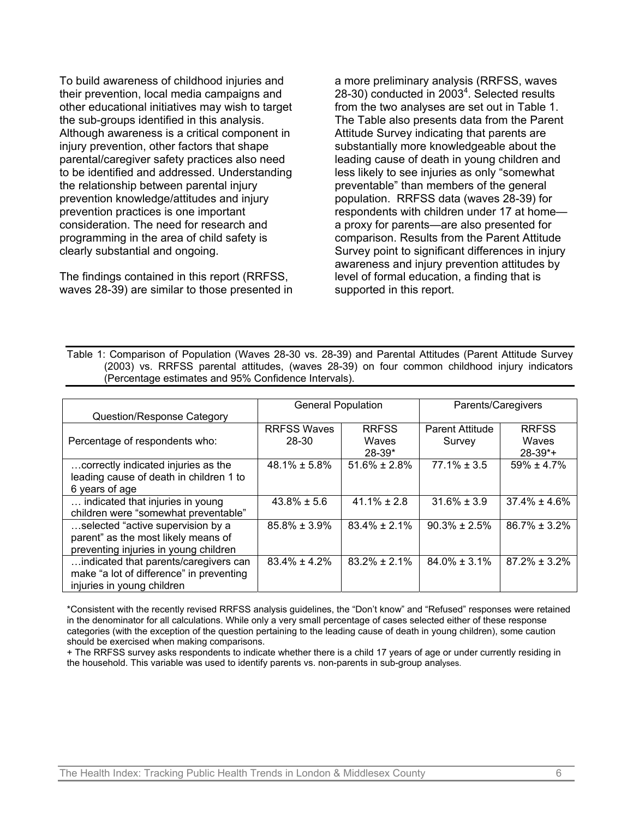To build awareness of childhood injuries and their prevention, local media campaigns and other educational initiatives may wish to target the sub-groups identified in this analysis. Although awareness is a critical component in injury prevention, other factors that shape parental/caregiver safety practices also need to be identified and addressed. Understanding the relationship between parental injury prevention knowledge/attitudes and injury prevention practices is one important consideration. The need for research and programming in the area of child safety is clearly substantial and ongoing.

The findings contained in this report (RRFSS, waves 28-39) are similar to those presented in a more preliminary analysis (RRFSS, waves 28-30) conducted in 2003<sup>4</sup>. Selected results from the two analyses are set out in Table 1. The Table also presents data from the Parent Attitude Survey indicating that parents are substantially more knowledgeable about the leading cause of death in young children and less likely to see injuries as only "somewhat preventable" than members of the general population. RRFSS data (waves 28-39) for respondents with children under 17 at home a proxy for parents—are also presented for comparison. Results from the Parent Attitude Survey point to significant differences in injury awareness and injury prevention attitudes by level of formal education, a finding that is supported in this report.

Table 1: Comparison of Population (Waves 28-30 vs. 28-39) and Parental Attitudes (Parent Attitude Survey (2003) vs. RRFSS parental attitudes, (waves 28-39) on four common childhood injury indicators (Percentage estimates and 95% Confidence Intervals).

| <b>Question/Response Category</b>        | Parents/Caregivers<br><b>General Population</b> |                    |                        |                       |
|------------------------------------------|-------------------------------------------------|--------------------|------------------------|-----------------------|
|                                          | <b>RRFSS Waves</b>                              | <b>RRFSS</b>       | <b>Parent Attitude</b> | <b>RRFSS</b>          |
| Percentage of respondents who:           | 28-30                                           | Waves              | Survey                 | Waves                 |
|                                          |                                                 | $28-39*$           |                        | $28-39$ <sup>*+</sup> |
| correctly indicated injuries as the      | $48.1\% \pm 5.8\%$                              | $51.6\% \pm 2.8\%$ | $77.1\% \pm 3.5$       | $59\% \pm 4.7\%$      |
| leading cause of death in children 1 to  |                                                 |                    |                        |                       |
| 6 years of age                           |                                                 |                    |                        |                       |
| indicated that injuries in young         | $43.8\% \pm 5.6$                                | $41.1\% \pm 2.8$   | $31.6\% \pm 3.9$       | $37.4\% \pm 4.6\%$    |
| children were "somewhat preventable"     |                                                 |                    |                        |                       |
| selected "active supervision by a        | $85.8\% \pm 3.9\%$                              | $83.4\% \pm 2.1\%$ | $90.3\% \pm 2.5\%$     | $86.7\% \pm 3.2\%$    |
| parent" as the most likely means of      |                                                 |                    |                        |                       |
| preventing injuries in young children    |                                                 |                    |                        |                       |
| indicated that parents/caregivers can    | $83.4\% \pm 4.2\%$                              | $83.2\% \pm 2.1\%$ | $84.0\% \pm 3.1\%$     | $87.2\% \pm 3.2\%$    |
| make "a lot of difference" in preventing |                                                 |                    |                        |                       |
| injuries in young children               |                                                 |                    |                        |                       |

\*Consistent with the recently revised RRFSS analysis guidelines, the "Don't know" and "Refused" responses were retained in the denominator for all calculations. While only a very small percentage of cases selected either of these response categories (with the exception of the question pertaining to the leading cause of death in young children), some caution should be exercised when making comparisons.

+ The RRFSS survey asks respondents to indicate whether there is a child 17 years of age or under currently residing in the household. This variable was used to identify parents vs. non-parents in sub-group analyses.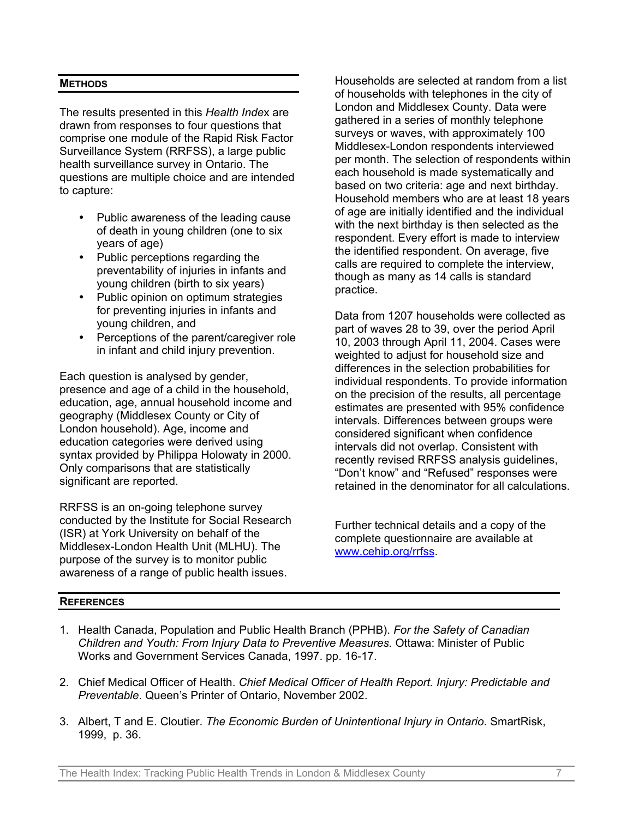### **METHODS**

The results presented in this *Health Inde*x are drawn from responses to four questions that comprise one module of the Rapid Risk Factor Surveillance System (RRFSS), a large public health surveillance survey in Ontario. The questions are multiple choice and are intended to capture:

- Public awareness of the leading cause of death in young children (one to six years of age)
- Public perceptions regarding the preventability of injuries in infants and young children (birth to six years)
- Public opinion on optimum strategies for preventing injuries in infants and young children, and
- Perceptions of the parent/caregiver role in infant and child injury prevention.

Each question is analysed by gender, presence and age of a child in the household, education, age, annual household income and geography (Middlesex County or City of London household). Age, income and education categories were derived using syntax provided by Philippa Holowaty in 2000. Only comparisons that are statistically significant are reported.

RRFSS is an on-going telephone survey conducted by the Institute for Social Research (ISR) at York University on behalf of the Middlesex-London Health Unit (MLHU). The purpose of the survey is to monitor public awareness of a range of public health issues.

Households are selected at random from a list of households with telephones in the city of London and Middlesex County. Data were gathered in a series of monthly telephone surveys or waves, with approximately 100 Middlesex-London respondents interviewed per month. The selection of respondents within each household is made systematically and based on two criteria: age and next birthday. Household members who are at least 18 years of age are initially identified and the individual with the next birthday is then selected as the respondent. Every effort is made to interview the identified respondent. On average, five calls are required to complete the interview, though as many as 14 calls is standard practice.

Data from 1207 households were collected as part of waves 28 to 39, over the period April 10, 2003 through April 11, 2004. Cases were weighted to adjust for household size and differences in the selection probabilities for individual respondents. To provide information on the precision of the results, all percentage estimates are presented with 95% confidence intervals. Differences between groups were considered significant when confidence intervals did not overlap. Consistent with recently revised RRFSS analysis guidelines, "Don't know" and "Refused" responses were retained in the denominator for all calculations.

Further technical details and a copy of the [complete questionna](http://www.cehip.org/rrfss)ire are available at www.cehip.org/rrfss.

### **REFERENCES**

- 1. Health Canada, Population and Public Health Branch (PPHB). *For the Safety of Canadian Children and Youth: From Injury Data to Preventive Measures.* Ottawa: Minister of Public Works and Government Services Canada, 1997. pp. 16-17.
- 2. Chief Medical Officer of Health. *Chief Medical Officer of Health Report. Injury: Predictable and Preventable*. Queen's Printer of Ontario, November 2002.
- 3. Albert, T and E. Cloutier. *The Economic Burden of Unintentional Injury in Ontario*. SmartRisk, 1999, p. 36.